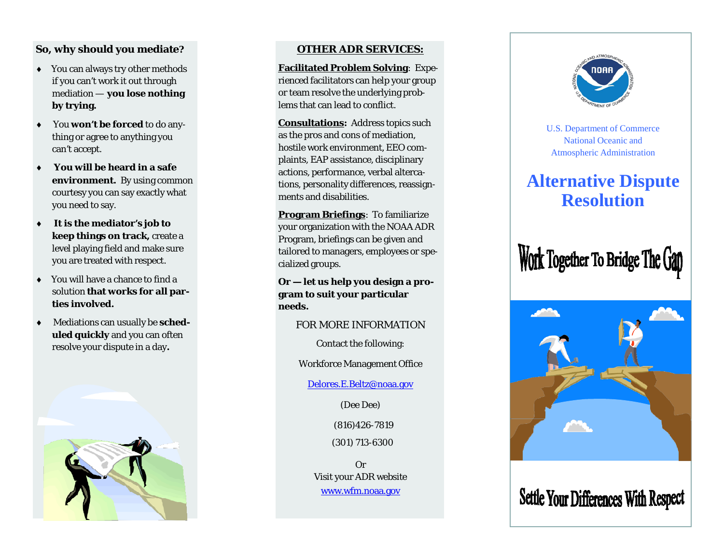## **So, why should you mediate?**

- You can always try other methods if you can't work it out through mediation — **you lose nothing by trying.**
- ٠ You **won't be forced** to do anything or agree to anything you can't accept.
- ٠ **You will be heard in a safe environment.** By using common courtesy you can say exactly what you need to say.
- ٠ **It is the mediator's job to keep things on track,** create a level playing field and make sure you are treated with respect.
- ٠ You will have a chance to find a solution **that works for all parties involved.**
- ٠ Mediations can usually be **scheduled quickly** and you can often resolve your dispute in a day**.**



## **OTHER ADR SERVICES:**

**Facilitated Problem Solving**: Experienced facilitators can help your group or team resolve the underlying problems that can lead to conflict.

**Consultations:** Address topics such as the pros and cons of mediation, hostile work environment, EEO complaints, EAP assistance, disciplinary actions, performance, verbal altercations, personality differences, reassignments and disabilities.

**Program Briefings**: To familiarize your organization with the NOAA ADR Program, briefings can be given and tailored to managers, employees or specialized groups.

**Or — let us help you design a program to suit your particular needs.**

FOR MORE INFORMATION

Contact the following:

Workforce Management Office

Delores.E.Beltz@noaa.gov

(Dee Dee)

(816)426-7819

(301) 713-6300

OrVisit your ADR website www.wfm.noaa.gov



U.S. Department of Commerce National Oceanic and Atmospheric Administration

# **Alternative Dispute Resolution**

Work Together To Bridge The Gan



**Settle Your Differences With Respect**